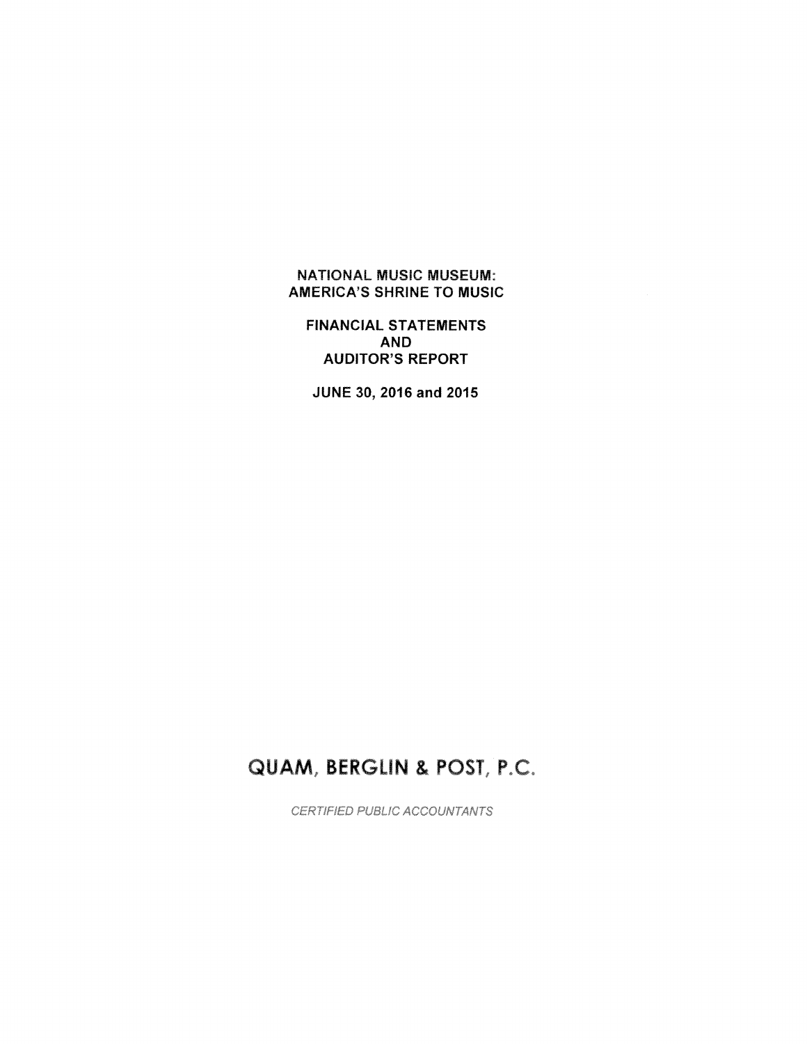# NATIONAL MUSIC MUSEUM: AMERICA'S SHRINE TO MUSIC

FINANCIAL STATEMENTS AND AUDITOR'S REPORT

JUNE 30, 2016 and 2015

# QUAM, BERGLIN & POST, P.C.

CERTIFIED PUBLIC ACCOUNTANTS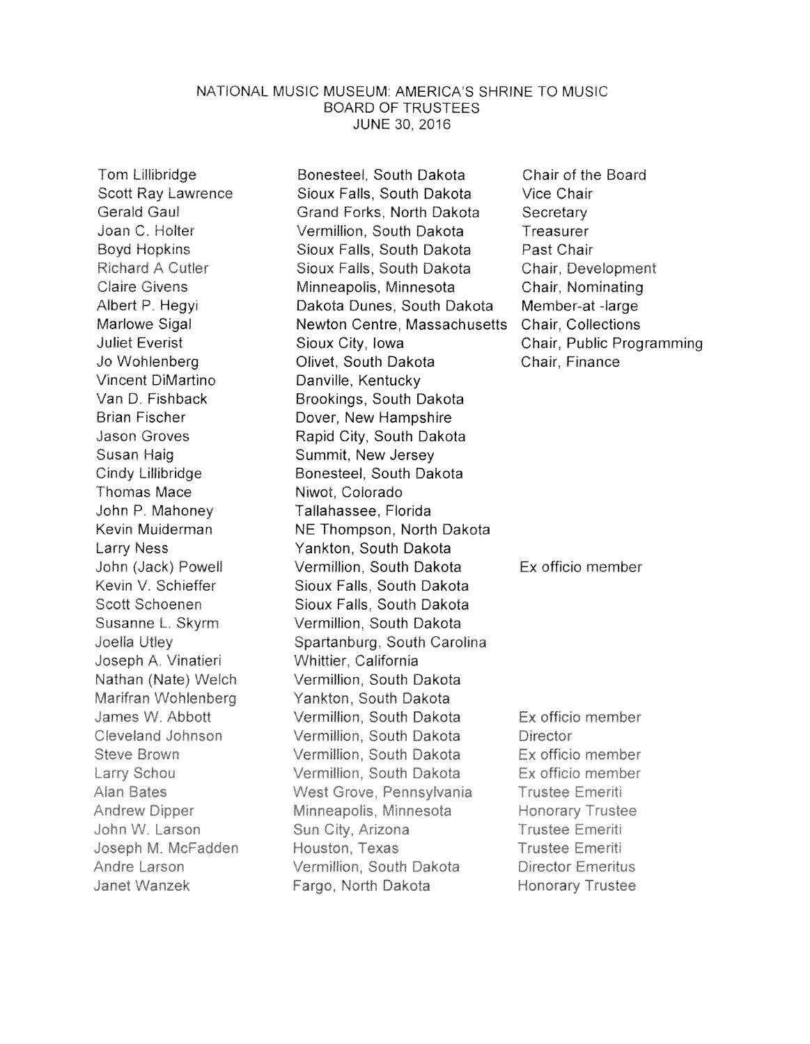#### NATIONAL MUSIC MUSEUM: AMERICA'S SHRINE TO MUSIC BOARD OF TRUSTEES **JUNE 30, 2016**

Tom Lillibridge **Scott Rav Lawrence** Gerald Gaul Joan C. Holter **Boyd Hopkins Richard A Cutler Claire Givens** Albert P. Hegyi Marlowe Sigal Juliet Everist Jo Wohlenberg Vincent DiMartino Van D. Fishback Brian Fischer **Jason Groves** Susan Haig Cindy Lillibridge Thomas Mace John P. Mahoney Kevin Muiderman **Larry Ness** John (Jack) Powell Kevin V. Schieffer Scott Schoenen Susanne L. Skvrm Joella Utlev Joseph A. Vinatieri Nathan (Nate) Welch Marifran Wohlenberg James W. Abbott Cleveland Johnson Steve Brown Larry Schou **Alan Bates Andrew Dipper** John W. Larson Joseph M. McFadden Andre Larson Janet Wanzek

Bonesteel. South Dakota Sioux Falis, South Dakota Grand Forks, North Dakota Vermillion, South Dakota Sioux Falls, South Dakota Sioux Falls, South Dakota Minneapolis, Minnesota Dakota Dunes, South Dakota Newton Centre, Massachusetts Sioux City, Iowa Olivet, South Dakota Danville, Kentucky Brookings, South Dakota Dover, New Hampshire Rapid City, South Dakota Summit, New Jersey Bonesteel, South Dakota Niwot, Colorado Tallahassee, Florida NE Thompson, North Dakota Yankton, South Dakota Vermillion, South Dakota Sioux Falls, South Dakota Sioux Falls, South Dakota Vermillion, South Dakota Spartanburg, South Carolina Whittier, California Vermillion. South Dakota Yankton, South Dakota Vermillion, South Dakota Vermillion, South Dakota Vermillion, South Dakota Vermillion, South Dakota West Grove, Pennsylvania Minneapolis, Minnesota Sun City, Arizona Houston, Texas Vermillion, South Dakota Fargo, North Dakota

Chair of the Board Vice Chair Secretary Treasurer Past Chair Chair, Development Chair, Nominating Member-at -large Chair, Collections Chair, Public Programming Chair, Finance

Ex officio member

Ex officio member Director Ex officio member Ex officio member Trustee Emeriti Honorary Trustee **Trustee Emeriti** Trustee Emeriti **Director Emeritus** Honorary Trustee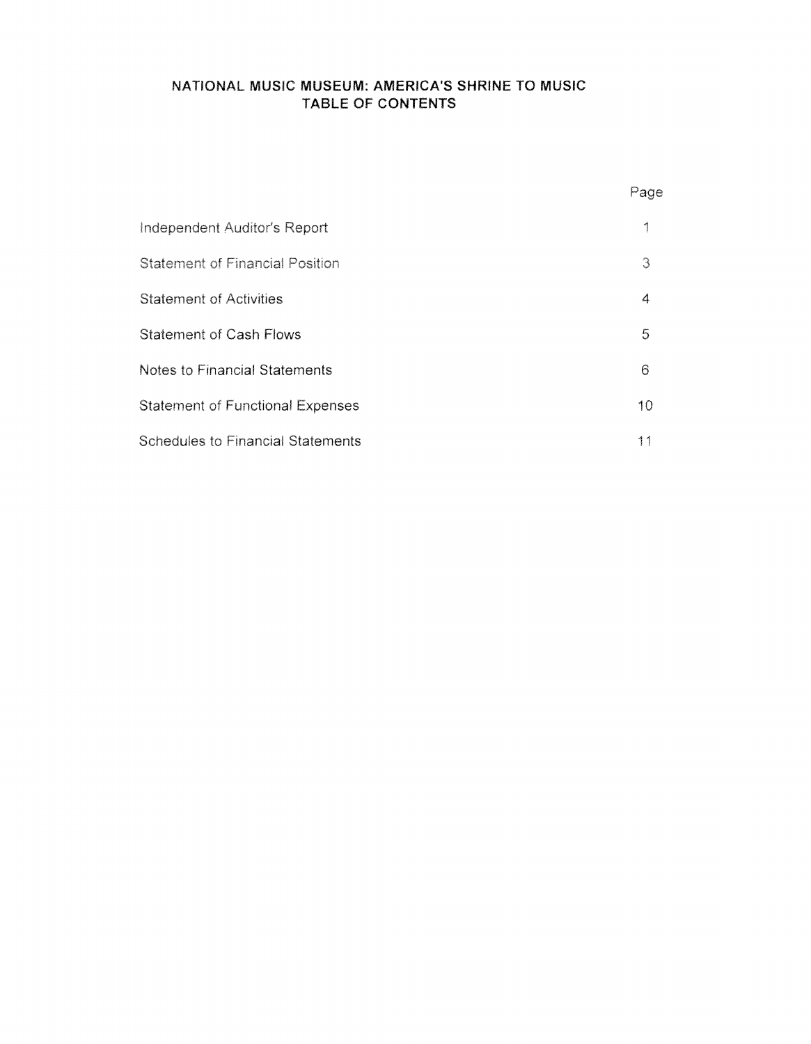# NATIONAL MUSIC MUSEUM: AMERICA'S SHRINE TO MUSIC TABLE OF CONTENTS

|                                          | Page |
|------------------------------------------|------|
| Independent Auditor's Report             | 1    |
| <b>Statement of Financial Position</b>   | 3    |
| <b>Statement of Activities</b>           | 4    |
| <b>Statement of Cash Flows</b>           | 5    |
| Notes to Financial Statements            | 6    |
| <b>Statement of Functional Expenses</b>  | 10   |
| <b>Schedules to Financial Statements</b> | 11   |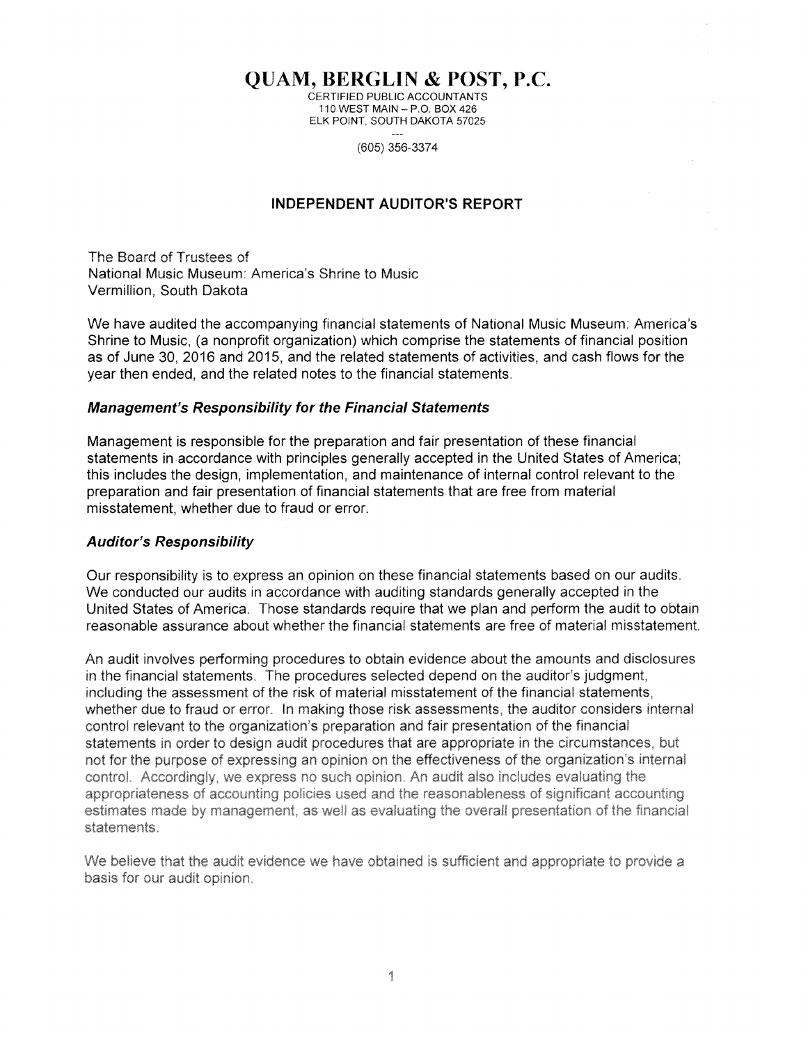**QUAM, BERGLIN & POST, P.C.** 

CERTIFIED PUBLIC ACCOUNTANTS 110 WEST MAIN  $-$  P.O. BOX 426 ELK POINT. SOUTH DAKOTA 57025

(605) 356-3374

## **INDEPENDENT AUDITOR'S REPORT**

The Board of Trustees of National Music Museum: America's Shrine to Music Vermillion, South Dakota

We have audited the accompanying financial statements of National Music Museum: America's Shrine to Music, (a nonprofit organization) which comprise the statements of financial position as of June 30, 2016 and 2015, and the related statements of activities, and cash flows for the year then ended, and the related notes to the financial statements.

## **Management's Responsibility for the Financial Statements**

Management is responsible for the preparation and fair presentation of these financial statements in accordance with principles generally accepted in the United States of America; this includes the design, implementation, and maintenance of internal control relevant to the preparation and fair presentation of financial statements that are free from material misstatement, whether due to fraud or error.

# **Auditor's Responsibility**

Our responsibility is to express an opinion on these financial statements based on our audits. We conducted our audits in accordance with auditing standards generally accepted in the United States of America. Those standards require that we plan and perform the audit to obtain reasonable assurance about whether the financial statements are free of material misstatement.

An audit involves performing procedures to obtain evidence about the amounts and disclosures in the financial statements. The procedures selected depend on the auditor's judgment, including the assessment of the risk of material misstatement of the financial statements, whether due to fraud or error. In making those risk assessments, the auditor considers internal control relevant to the organization's preparation and fair presentation of the financial statements in order to design audit procedures that are appropriate in the circumstances, but not for the purpose of expressing an opinion on the effectiveness of the organization's internal control. Accordingly, we express no such opinion. An audit also includes evaluating the appropriateness of accounting policies used and the reasonableness of significant accounting estimates made by management, as well as evaluating the overall presentation of the financial statements.

We believe that the audit evidence we have obtained is sufficient and appropriate to provide a basis for our audit opinion.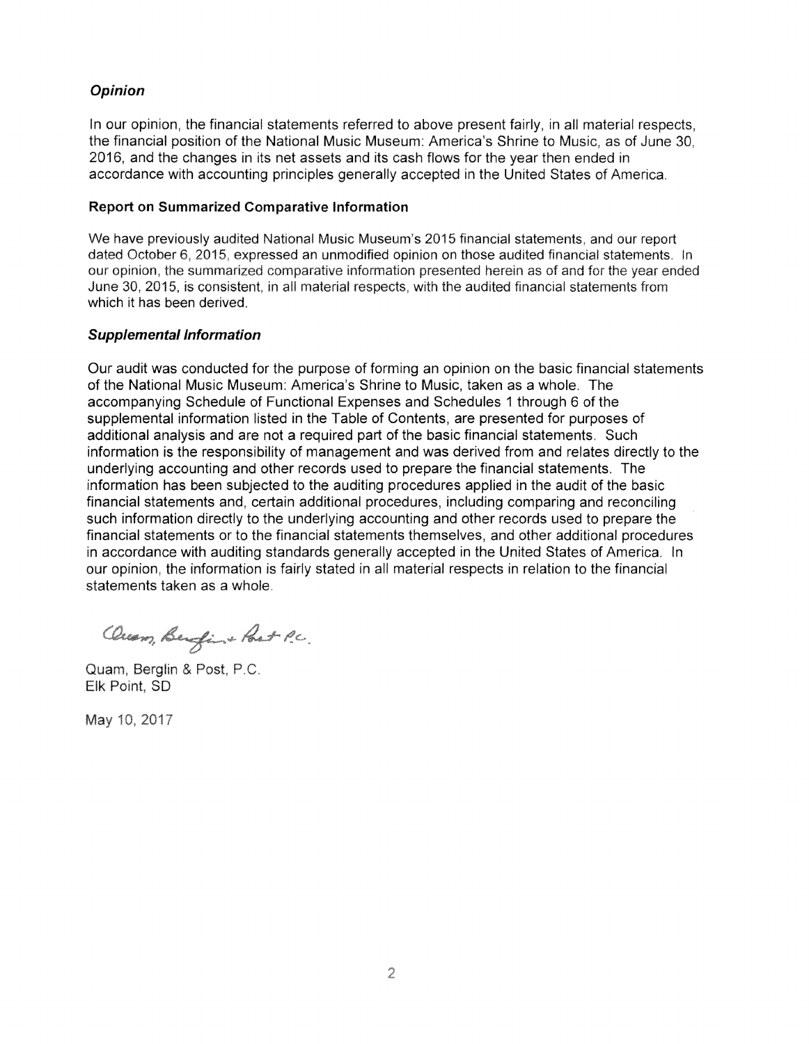# **Opinion**

In our opinion, the financial statements referred to above present fairly, in all material respects, the financial position of the National Music Museum: America's Shrine to Music, as of June 30, 2016, and the changes in its net assets and its cash flows for the year then ended in accordance with accounting principles generally accepted in the United States of America.

#### **Report on Summarized Comparative Information**

We have previously audited National Music Museum's 2015 financial statements, and our report dated October 6, 2015, expressed an unmodified opinion on those audited financial statements. In our opinion, the summarized comparative information presented herein as of and for the year ended June 30, 2015, is consistent, in all material respects, with the audited financial statements from which it has been derived.

## **Supplemental Information**

Our audit was conducted for the purpose of forming an opinion on the basic financial statements of the National Music Museum: America's Shrine to Music, taken as a whole. The accompanying Schedule of Functional Expenses and Schedules 1 through 6 of the supplemental information listed in the Table of Contents, are presented for purposes of additional analysis and are not a required part of the basic financial statements. Such information is the responsibility of management and was derived from and relates directly to the underlying accounting and other records used to prepare the financial statements. The information has been subjected to the auditing procedures applied in the audit of the basic financial statements and, certain additional procedures, including comparing and reconciling such information directly to the underlying accounting and other records used to prepare the financial statements or to the financial statements themselves, and other additional procedures in accordance with auditing standards generally accepted in the United States of America. In our opinion, the information is fairly stated in all material respects in relation to the financial statements taken as a whole.

Ouam, Benfin + Post P.C.

Quam, Berglin & Post, P.C. Elk Point, SD

May 10, 2017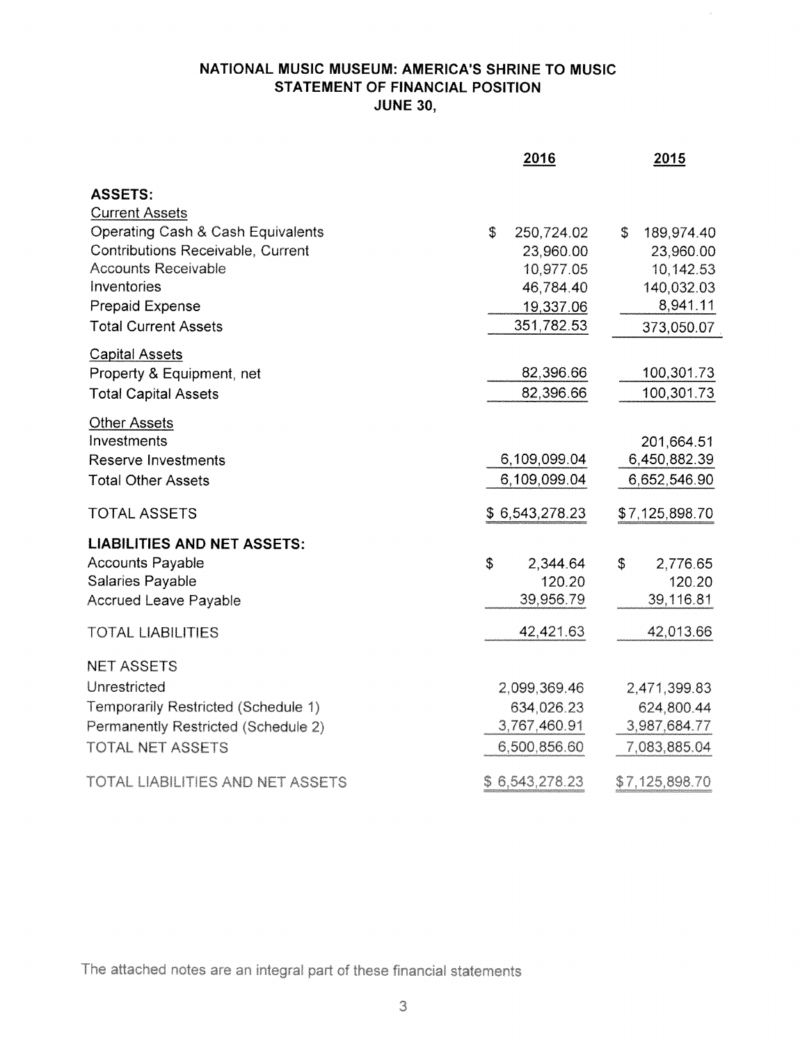# **NATIONAL MUSIC MUSEUM: AMERICA'S SHRINE TO MUSIC STATEMENT OF FINANCIAL POSITION JUNE 30,**

 $\overline{\phantom{a}}$ 

|                                         | 2016             | 2015             |
|-----------------------------------------|------------------|------------------|
| <b>ASSETS:</b><br><b>Current Assets</b> |                  |                  |
| Operating Cash & Cash Equivalents       | \$<br>250,724.02 | \$<br>189,974.40 |
| Contributions Receivable, Current       | 23,960.00        | 23,960.00        |
| <b>Accounts Receivable</b>              | 10,977.05        | 10,142.53        |
| Inventories                             | 46,784.40        | 140,032.03       |
| <b>Prepaid Expense</b>                  | 19,337.06        | 8,941.11         |
| <b>Total Current Assets</b>             | 351,782.53       | 373,050.07       |
| <b>Capital Assets</b>                   |                  |                  |
| Property & Equipment, net               | 82,396.66        | 100,301.73       |
| <b>Total Capital Assets</b>             | 82,396.66        | 100,301.73       |
| <b>Other Assets</b>                     |                  |                  |
| Investments                             |                  | 201,664.51       |
| <b>Reserve Investments</b>              | 6,109,099.04     | 6,450,882.39     |
| <b>Total Other Assets</b>               | 6,109,099.04     | 6,652,546.90     |
| <b>TOTAL ASSETS</b>                     | \$6,543,278.23   | \$7,125,898.70   |
| <b>LIABILITIES AND NET ASSETS:</b>      |                  |                  |
| <b>Accounts Payable</b>                 | \$<br>2,344.64   | \$<br>2,776.65   |
| Salaries Payable                        | 120.20           | 120.20           |
| <b>Accrued Leave Payable</b>            | 39,956.79        | 39,116.81        |
| <b>TOTAL LIABILITIES</b>                | 42,421.63        | 42,013.66        |
| <b>NET ASSETS</b>                       |                  |                  |
| Unrestricted                            | 2,099,369.46     | 2,471,399.83     |
| Temporarily Restricted (Schedule 1)     | 634,026.23       | 624,800.44       |
| Permanently Restricted (Schedule 2)     | 3,767,460.91     | 3,987,684.77     |
| <b>TOTAL NET ASSETS</b>                 | 6,500,856.60     | 7,083,885.04     |
| TOTAL LIABILITIES AND NET ASSETS        | \$6,543,278.23   | \$7,125,898.70   |

The attached notes are an integral part of these financial statements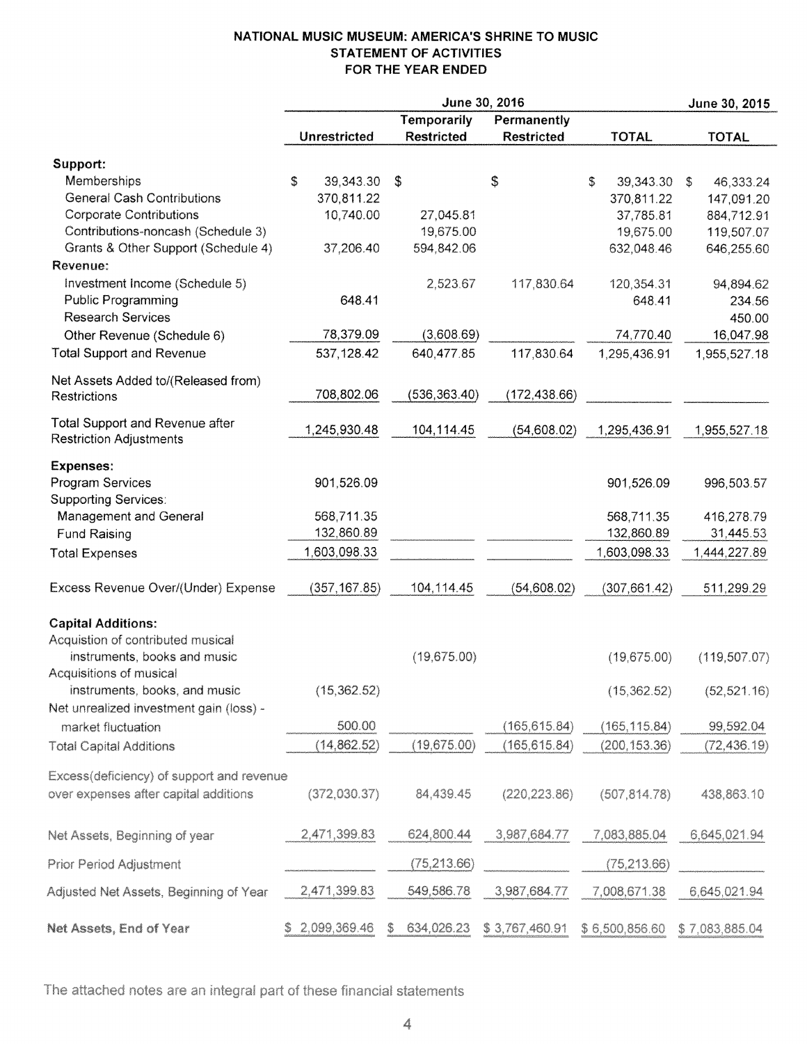# **NATIONAL MUSIC MUSEUM: AMERICA'S SHRINE TO MUSIC STATEMENT OF ACTIVITIES FOR THE YEAR ENDED**

|                                                                          |                 |                    | June 30, 2016     |                  | June 30, 2015   |
|--------------------------------------------------------------------------|-----------------|--------------------|-------------------|------------------|-----------------|
|                                                                          |                 | <b>Temporarily</b> | Permanently       |                  |                 |
|                                                                          | Unrestricted    | <b>Restricted</b>  | <b>Restricted</b> | <b>TOTAL</b>     | <b>TOTAL</b>    |
| Support:                                                                 |                 |                    |                   |                  |                 |
| Memberships                                                              | \$<br>39,343.30 | $\mathfrak{S}$     | \$                | \$.<br>39,343.30 | 46,333.24<br>\$ |
| <b>General Cash Contributions</b>                                        | 370,811.22      |                    |                   | 370,811.22       | 147,091.20      |
| <b>Corporate Contributions</b>                                           | 10,740.00       | 27,045.81          |                   | 37,785.81        | 884,712.91      |
| Contributions-noncash (Schedule 3)                                       |                 | 19,675.00          |                   | 19,675.00        | 119,507.07      |
| Grants & Other Support (Schedule 4)                                      | 37,206.40       | 594,842.06         |                   | 632,048.46       | 646,255.60      |
| Revenue:                                                                 |                 |                    |                   |                  |                 |
| Investment Income (Schedule 5)                                           |                 | 2,523.67           | 117,830.64        | 120,354.31       | 94,894.62       |
| <b>Public Programming</b>                                                | 648.41          |                    |                   | 648.41           | 234.56          |
| <b>Research Services</b>                                                 |                 |                    |                   |                  | 450.00          |
|                                                                          | 78,379.09       | (3,608.69)         |                   | 74,770.40        | 16,047.98       |
| Other Revenue (Schedule 6)                                               |                 |                    |                   |                  |                 |
| <b>Total Support and Revenue</b>                                         | 537,128.42      | 640,477.85         | 117,830.64        | 1,295,436.91     | 1,955,527.18    |
| Net Assets Added to/(Released from)                                      |                 |                    |                   |                  |                 |
| Restrictions                                                             | 708,802.06      | (536, 363.40)      | (172, 438.66)     |                  |                 |
|                                                                          |                 |                    |                   |                  |                 |
| <b>Total Support and Revenue after</b><br><b>Restriction Adjustments</b> | 1,245,930.48    | 104,114.45         | (54,608.02)       | 1,295,436.91     | 1,955,527.18    |
|                                                                          |                 |                    |                   |                  |                 |
| <b>Expenses:</b>                                                         |                 |                    |                   |                  |                 |
| Program Services                                                         | 901,526.09      |                    |                   | 901,526.09       | 996,503.57      |
| <b>Supporting Services:</b>                                              |                 |                    |                   |                  |                 |
| Management and General                                                   | 568,711.35      |                    |                   | 568,711.35       | 416,278.79      |
| <b>Fund Raising</b>                                                      | 132,860.89      |                    |                   | 132,860.89       | 31,445.53       |
| <b>Total Expenses</b>                                                    | 1,603,098.33    |                    |                   | 1,603,098.33     | 1,444,227.89    |
|                                                                          |                 |                    |                   |                  |                 |
| Excess Revenue Over/(Under) Expense                                      | (357, 167.85)   | 104,114.45         | (54,608.02)       | (307, 661.42)    | 511,299.29      |
|                                                                          |                 |                    |                   |                  |                 |
| <b>Capital Additions:</b>                                                |                 |                    |                   |                  |                 |
| Acquistion of contributed musical                                        |                 |                    |                   |                  |                 |
| instruments, books and music                                             |                 | (19,675.00)        |                   | (19,675.00)      | (119, 507.07)   |
| Acquisitions of musical                                                  |                 |                    |                   |                  |                 |
| instruments, books, and music                                            | (15, 362.52)    |                    |                   | (15, 362.52)     | (52, 521.16)    |
| Net unrealized investment gain (loss) -                                  |                 |                    |                   |                  |                 |
| market fluctuation                                                       | 500.00          |                    | (165, 615.84)     | (165, 115.84)    | 99,592.04       |
| <b>Total Capital Additions</b>                                           | (14, 862.52)    | (19,675.00)        | (165, 615.84)     | (200, 153.36)    | (72, 436.19)    |
|                                                                          |                 |                    |                   |                  |                 |
| Excess(deficiency) of support and revenue                                |                 |                    |                   |                  |                 |
| over expenses after capital additions                                    | (372,030.37)    | 84,439.45          | (220, 223.86)     | (507, 814.78)    | 438,863.10      |
|                                                                          |                 |                    |                   |                  |                 |
| Net Assets, Beginning of year                                            | 2,471,399.83    | 624,800.44         | 3,987,684.77      | 7,083,885.04     | 6,645,021.94    |
|                                                                          |                 |                    |                   |                  |                 |
| <b>Prior Period Adjustment</b>                                           |                 | (75, 213.66)       |                   | (75, 213.66)     |                 |
|                                                                          |                 |                    |                   |                  |                 |
| Adjusted Net Assets, Beginning of Year                                   | 2,471,399.83    | 549,586.78         | 3,987,684.77      | 7,008,671.38     | 6,645,021.94    |
|                                                                          |                 |                    |                   |                  |                 |
| Net Assets, End of Year                                                  | 2,099,369.46    | 634,026.23<br>S.   | \$3,767,460.91    | \$6,500,856.60   | \$7,083,885.04  |

The attached notes are an integral part of these financial statements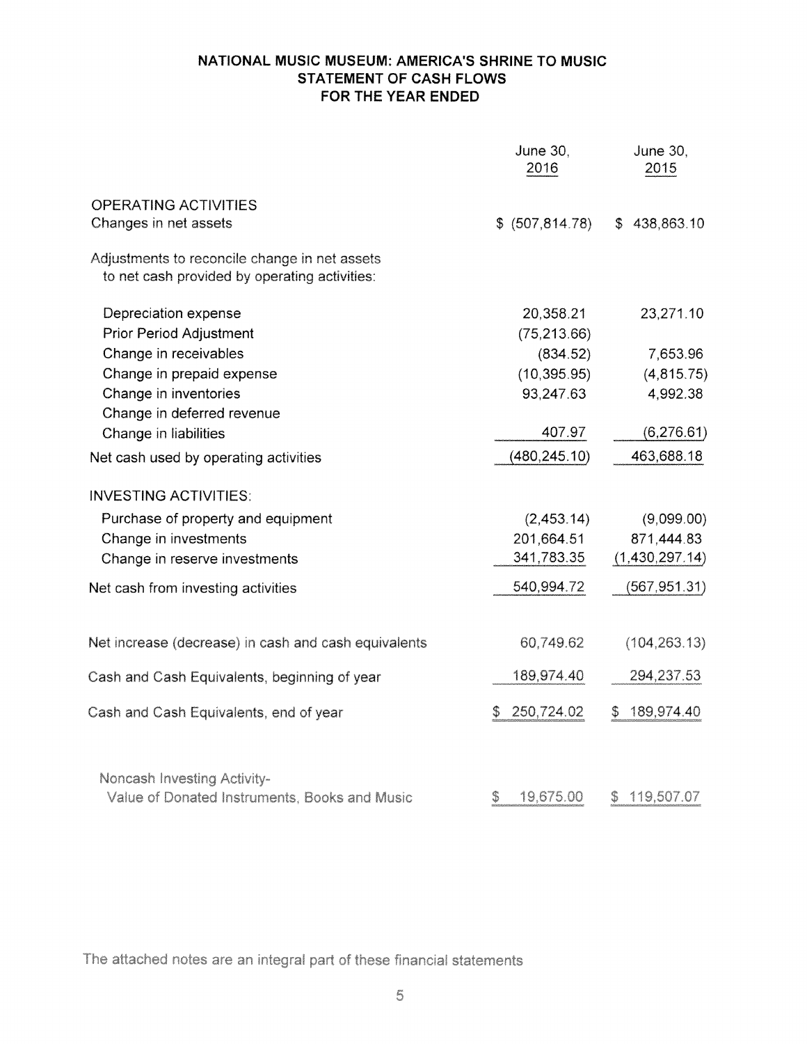# **NATIONAL MUSIC MUSEUM: AMERICA'S SHRINE TO MUSIC STATEMENT OF CASH FLOWS FOR THE YEAR ENDED**

|                                                                                                | <b>June 30,</b><br>2016 | June 30,<br>2015 |
|------------------------------------------------------------------------------------------------|-------------------------|------------------|
| <b>OPERATING ACTIVITIES</b>                                                                    |                         |                  |
| Changes in net assets                                                                          | \$ (507, 814.78)        | \$438,863.10     |
| Adjustments to reconcile change in net assets<br>to net cash provided by operating activities: |                         |                  |
| Depreciation expense                                                                           | 20,358.21               | 23,271.10        |
| <b>Prior Period Adjustment</b>                                                                 | (75, 213.66)            |                  |
| Change in receivables                                                                          | (834.52)                | 7,653.96         |
| Change in prepaid expense                                                                      | (10, 395.95)            | (4, 815.75)      |
| Change in inventories                                                                          | 93,247.63               | 4,992.38         |
| Change in deferred revenue                                                                     |                         |                  |
| Change in liabilities                                                                          | 407.97                  | (6,276.61)       |
| Net cash used by operating activities                                                          | (480, 245.10)           | 463,688.18       |
| <b>INVESTING ACTIVITIES:</b>                                                                   |                         |                  |
| Purchase of property and equipment                                                             | (2,453.14)              | (9,099.00)       |
| Change in investments                                                                          | 201,664.51              | 871,444.83       |
| Change in reserve investments                                                                  | 341,783.35              | (1,430,297.14)   |
| Net cash from investing activities                                                             | 540,994.72              | (567, 951.31)    |
| Net increase (decrease) in cash and cash equivalents                                           | 60,749.62               | (104, 263.13)    |
| Cash and Cash Equivalents, beginning of year                                                   | 189,974.40              | 294,237.53       |
| Cash and Cash Equivalents, end of year                                                         | 250,724.02<br>S         | 189,974.40<br>S  |
| Noncash Investing Activity-<br>Value of Donated Instruments, Books and Music                   | 19,675.00<br>\$         | 119,507.07<br>\$ |

The attached notes are an integral part of these financial statements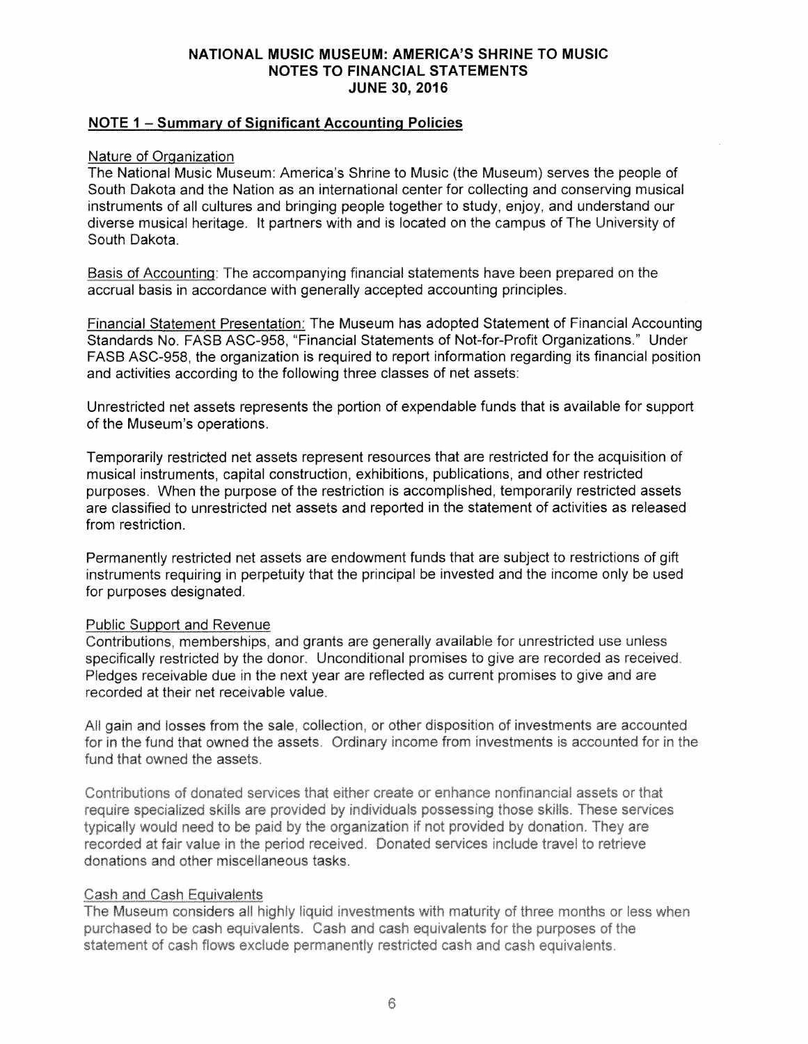## **NATIONAL MUSIC MUSEUM: AMERICA'S SHRINE TO MUSIC NOTES TO FINANCIAL STATEMENTS JUNE 30, 2016**

# **NOTE 1 - Summary of Significant Accounting Policies**

#### Nature of Organization

The National Music Museum: America's Shrine to Music (the Museum) serves the people of South Dakota and the Nation as an international center for collecting and conserving musical instruments of all cultures and bringing people together to study, enjoy, and understand our diverse musical heritage. It partners with and is located on the campus of The University of South Dakota.

been prepared on accrual basis in accordance with generally accepted accounting principles.

Financial Statement Presentation: The Museum has adopted Statement of Financial Accounting Standards **No.** FASB ASC-958, "Financial Statements of Not-for-Profit Organizations. Under FASB ASC-958, the organization is required to report information regarding its financial position and activities according to the following three classes of net assets:

Unrestricted net assets represents the portion of expendable funds that is available for support of the Museum's operations.

Temporarily restricted net assets represent resources that are restricted for the acquisition of musical instruments, capital construction, exhibitions, publications, and other restricted purposes. When the purpose of the restriction is accomplished, temporarily restricted assets are classified to unrestricted net assets and reported in the statement of activities as released from restriction.

Permanently restricted net assets are endowment funds that are subject to restrictions of gift instruments requiring in perpetuity that the principal be invested and the income only be used for purposes designated.

#### **Public Support and Revenue**

Contributions, memberships, and grants are generally available for unrestricted use unless specifically restricted by the donor. Unconditional promises to give are recorded as received. Pledges receivable due in the next year are reflected as current promises to give and are recorded at their net receivable value.

All gain and losses from the sale, collection, or other disposition of investments are accounted for in the fund that owned the assets. Ordinary income from investments is accounted for in the fund that owned the assets.

Contributions of donated services that either create or enhance nonfinancial assets or that require specialized skills are provided by individuals possessing those skills. These services typically would need to be paid by the organization if not provided by donation. They are recorded at fair value in the period received. Donated services include travel to retrieve donations and other miscellaneous tasks

#### Cash and Cash Equivalents

The Museum considers all highly liquid investments with maturity of three months or less when purchased to be cash equivalents. Cash and cash equivalents for the purposes of the statement of cash flows exclude permanently restricted cash and cash equivalents.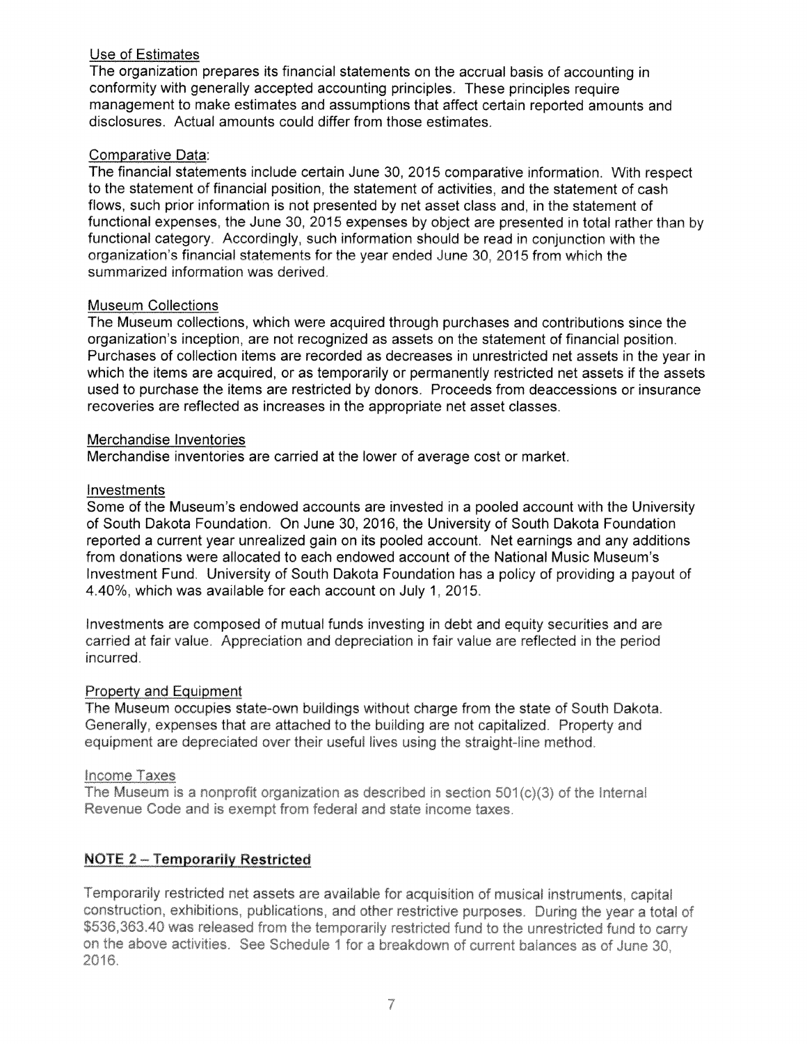# Use of Estimates

The organization prepares its financial statements on the accrual basis of accounting in conformity with generally accepted accounting principles. These principles require management to make estimates and assumptions that affect certain reported amounts and disclosures. Actual amounts could differ from those estimates.

## Comparative Data:

The financial statements include certain June 30, 2015 comparative information. With respect to the statement of financial position, the statement of activities, and the statement of cash flows, such prior information is not presented by net asset class and, in the statement of functional expenses, the June 30, 2015 expenses by object are presented in total rather than by functional category. Accordingly, such information should be read in conjunction with the organization's financial statements for the year ended June 30, 2015 from which the summarized information was derived.

## Museum Collections

The Museum collections, which were acquired through purchases and contributions since the organization's inception, are not recognized as assets on the statement of financial position. Purchases of collection items are recorded as decreases in unrestricted net assets in the year in which the items are acquired, or as temporarily or permanently restricted net assets if the assets used to purchase the items are restricted by donors. Proceeds from deaccessions or insurance recoveries are reflected as increases in the appropriate net asset classes.

## Merchandise Inventories

Merchandise inventories are carried at the lower of average cost or market

## Investments

Some of the Museum's endowed accounts are invested in a pooled account with the University of South Dakota Foundation. On June 30, 2016, the University of South Dakota Foundation reported a current year unrealized gain on its pooled account. Net earnings and any additions from donations were allocated to each endowed account of the National Music Museum's Investment Fund. University of South Dakota Foundation has a policy of providing a payout of 4.40%, which was available for each account on July 1, 201

Investments are composed of mutual funds investing in debt and equity securities and are carried at fair value. Appreciation and depreciation in fair value are reflected in the period incurred.

# **Property and Equipment**

The Museum occupies state-own buildings without charge from the state of South Dakota. Generally, expenses that are attached to the building are not capitalized. Property and equipment are depreciated over their useful lives using the straight-line method.

#### Income Taxes

The Museum is a nonprofit organization as described in section 501(c)(3) of the Internal Revenue Code and is exempt from federal and state income taxes.

# **NOTE 2 - Temporarily Restricted**

Temporarily restricted net assets are available for acquisition of musical instruments, capital construction, exhibitions, publications, and other restrictive purposes. During the year a total of \$536,363.40 was released from the temporarily restricted fund to the unrestricted fund to carry on the above activities. See Schedule 1 for a breakdown of current balances as of June 30. 2016.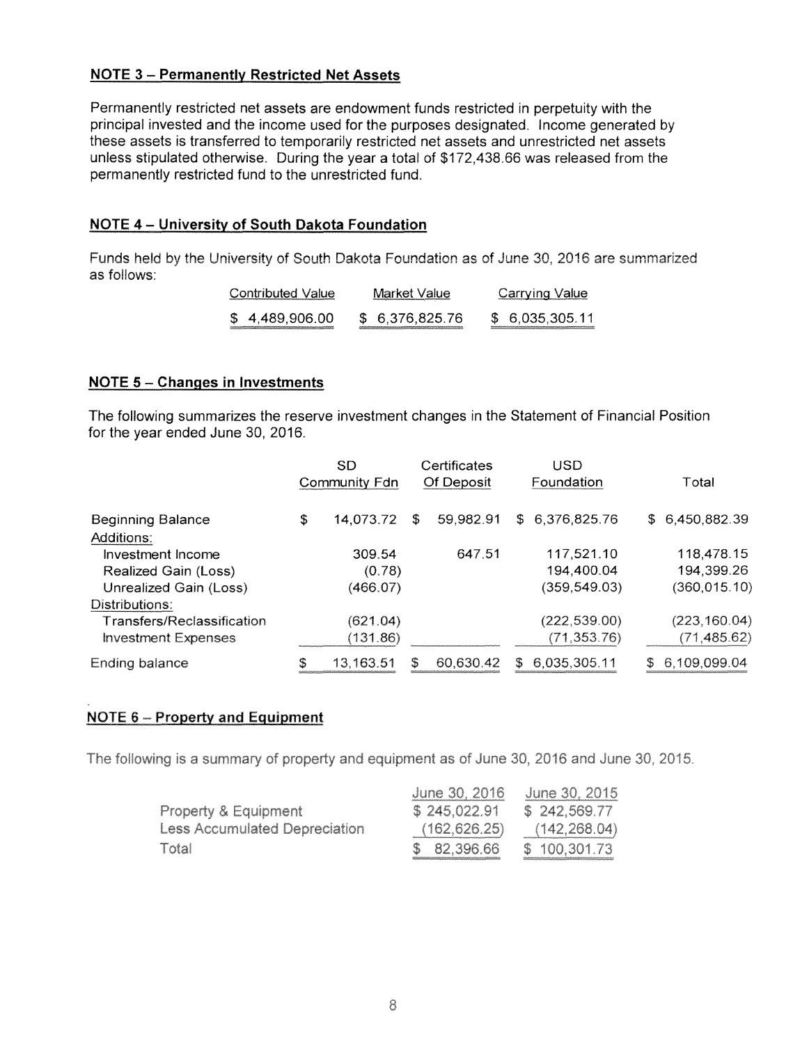# **NOTE 3 - Permanently Restricted Net Assets**

Permanently restricted net assets are endowment funds restricted in perpetuity with the principal invested and the income used for the purposes designated. Income generated by these assets is transferred to temporarily restricted net assets and unrestricted net assets unless stipulated otherwise. During the year a total of \$172,438.66 was released from the permanently restricted fund to the unrestricted fund.

# **NOTE 4 - University of South Dakota Foundation**

Funds held by the University of South Dakota Foundation as of June 30, 2016 are summarized as follows:

| Contributed Value | Market Value                                                                                                                      | <b>Carrying Value</b>                                                                                                                    |
|-------------------|-----------------------------------------------------------------------------------------------------------------------------------|------------------------------------------------------------------------------------------------------------------------------------------|
| \$4,489,906.00    | \$ 6,376,825.76<br>a di manaka baya ya mata ya masa ya masa ya katika mata ya mata ya katika a katika a mata ya mata ya mata ya m | \$ 6,035,305.11<br><u>e a company a por especial en la companya de la companya de la companya de la companya de la companya de la co</u> |

#### **NOTE 5 - Changes in Investments**

The following summarizes the reserve investment changes in the Statement of Financial Position for the year ended June 30, 2016.

|                                   |    | SD            |    | Certificates |    | USD           |    |                |
|-----------------------------------|----|---------------|----|--------------|----|---------------|----|----------------|
|                                   |    | Community Fdn |    | Of Deposit   |    | Foundation    |    | Total          |
| <b>Beginning Balance</b>          | \$ | 14,073.72     | \$ | 59,982.91    | S. | 6,376,825.76  |    | \$6,450,882.39 |
| Additions:                        |    |               |    |              |    |               |    |                |
| Investment Income                 |    | 309.54        |    | 647.51       |    | 117,521.10    |    | 118,478.15     |
| Realized Gain (Loss)              |    | (0.78)        |    |              |    | 194,400.04    |    | 194,399.26     |
| Unrealized Gain (Loss)            |    | (466.07)      |    |              |    | (359, 549.03) |    | (360, 015.10)  |
| Distributions:                    |    |               |    |              |    |               |    |                |
| <b>Transfers/Reclassification</b> |    | (621.04)      |    |              |    | (222, 539.00) |    | (223, 160.04)  |
| <b>Investment Expenses</b>        |    | (131.86)      |    |              |    | (71, 353.76)  |    | (71, 485.62)   |
| Ending balance                    | \$ | 13.163.51     | S  | 60,630.42    | S. | 6,035,305.11  | S. | 6,109,099.04   |

# NOTE 6 - Property and Equipment

The following is a summary of property and equipment as of June 30, 2016 and June 30, 2015.

|                                      | June 30, 2016 | June 30, 2015                                                                                                       |
|--------------------------------------|---------------|---------------------------------------------------------------------------------------------------------------------|
| <b>Property &amp; Equipment</b>      | \$245,022.91  | \$242,569.77                                                                                                        |
| <b>Less Accumulated Depreciation</b> | (162, 626.25) | (142, 268.04)                                                                                                       |
| Total                                | \$ 82,396.66  | \$100,301.73<br>and the second contract of the second service and the second contract of the second second services |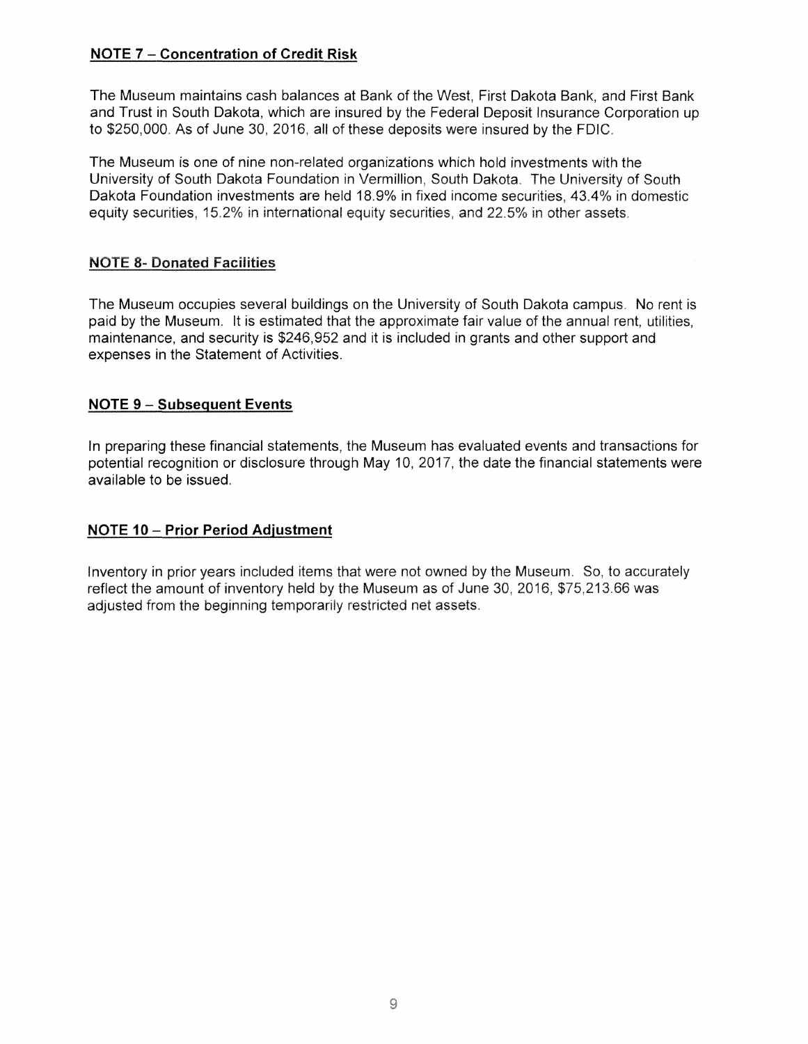# **NOTE 7** - **Concentration of Credit Risk**

The Museum maintains cash balances at Bank of the West, First Dakota Bank, and First Bank and Trust in South Dakota, which are insured by the Federal Deposit Insurance Corporation up to \$250,000. As of June 30, 2016, all of these deposits were insured by the FDIC.

The Museum is one of nine non-related organizations which hold investments with the University of South Dakota Foundation in Vermillion, South Dakota. The University of South Dakota Foundation investments are held 18.9% in fixed income securities, 43.4% in domestic equity securities, 15.2% in international equity securities, and 22.5% in other assets.

# **NOTE 8- Donated Facilities**

The Museum occupies several buildings on the University of South Dakota campus. No rent is paid by the Museum. It is estimated that the approximate fair value of the annual rent, utilities, maintenance, and security is \$246,952 and it is included in grants and other support and expenses in the Statement of Activities.

# **NOTE 9 - Subsequent Events**

In preparing these financial statements, the Museum has evaluated events and transactions for potential recognition or disclosure through May 10, 2017, the date the financial statements were available to be issued.

# **NOTE 10- Prior Period Adjustment**

Inventory in prior years included items that were not owned by the Museum. So, to accurately reflect the amount of inventory held by the Museum as of June 30, 2016, \$75,213.66 was adjusted from the beginning temporarily restricted net assets.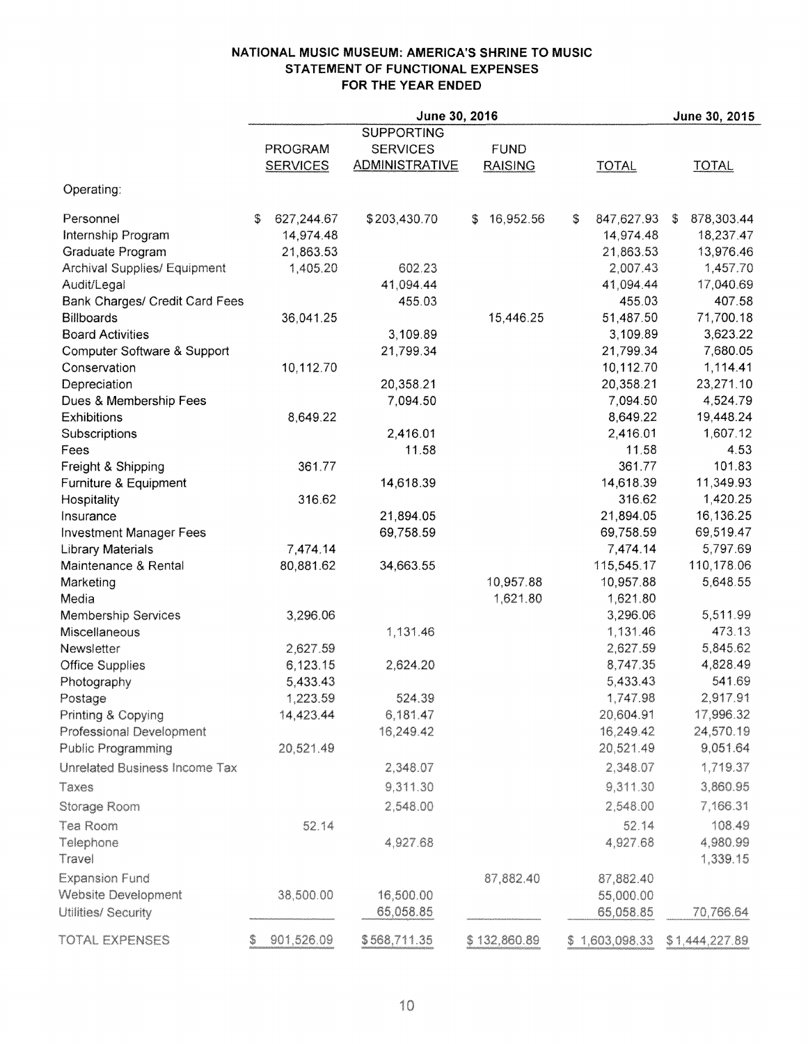#### **NATIONAL MUSIC MUSEUM: AMERICA'S SHRINE TO MUSIC STATEMENT OF FUNCTIONAL EXPENSES FOR THE YEAR ENDED**

|                                       | June 30, 2016 |                 |                       |                 |    |                |      | June 30, 2015        |
|---------------------------------------|---------------|-----------------|-----------------------|-----------------|----|----------------|------|----------------------|
|                                       |               |                 | <b>SUPPORTING</b>     |                 |    |                |      |                      |
|                                       |               | PROGRAM         | <b>SERVICES</b>       | <b>FUND</b>     |    |                |      |                      |
|                                       |               | <b>SERVICES</b> | <b>ADMINISTRATIVE</b> | <b>RAISING</b>  |    | <b>TOTAL</b>   |      | <b>TOTAL</b>         |
| Operating:                            |               |                 |                       |                 |    |                |      |                      |
| Personnel                             | S.            | 627,244.67      | \$203,430.70          | 16,952.56<br>S. | \$ | 847,627.93     | - \$ | 878,303.44           |
| Internship Program                    |               | 14,974.48       |                       |                 |    | 14,974.48      |      | 18,237.47            |
| <b>Graduate Program</b>               |               | 21,863.53       |                       |                 |    | 21,863.53      |      | 13,976.46            |
| <b>Archival Supplies/ Equipment</b>   |               | 1,405.20        | 602.23                |                 |    | 2,007.43       |      | 1,457.70             |
| Audit/Legal                           |               |                 | 41,094.44             |                 |    | 41,094.44      |      | 17,040.69            |
| <b>Bank Charges/ Credit Card Fees</b> |               |                 | 455.03                |                 |    | 455.03         |      | 407.58               |
| <b>Billboards</b>                     |               | 36,041.25       |                       | 15,446.25       |    | 51,487.50      |      | 71,700.18            |
| <b>Board Activities</b>               |               |                 | 3,109.89              |                 |    | 3,109.89       |      | 3,623.22             |
| Computer Software & Support           |               |                 | 21,799.34             |                 |    | 21,799.34      |      | 7,680.05             |
| Conservation                          |               | 10,112.70       |                       |                 |    | 10,112.70      |      | 1,114.41             |
| Depreciation                          |               |                 | 20,358.21             |                 |    | 20,358.21      |      | 23,271.10            |
| Dues & Membership Fees                |               |                 | 7,094.50              |                 |    | 7,094.50       |      | 4,524.79             |
| Exhibitions                           |               | 8,649.22        |                       |                 |    | 8,649.22       |      | 19,448.24            |
| Subscriptions                         |               |                 | 2,416.01              |                 |    | 2,416.01       |      | 1,607.12             |
| Fees                                  |               |                 | 11.58                 |                 |    | 11.58          |      | 4.53                 |
| Freight & Shipping                    |               | 361.77          |                       |                 |    | 361.77         |      | 101.83               |
| Furniture & Equipment                 |               |                 | 14,618.39             |                 |    | 14,618.39      |      | 11,349.93            |
| Hospitality                           |               | 316.62          |                       |                 |    | 316.62         |      | 1,420.25             |
| Insurance                             |               |                 | 21,894.05             |                 |    | 21,894.05      |      | 16,136.25            |
| <b>Investment Manager Fees</b>        |               |                 | 69,758.59             |                 |    | 69,758.59      |      | 69,519.47            |
| <b>Library Materials</b>              |               | 7,474.14        |                       |                 |    | 7,474.14       |      | 5,797.69             |
| Maintenance & Rental                  |               | 80,881.62       | 34,663.55             |                 |    | 115,545.17     |      | 110,178.06           |
| Marketing                             |               |                 |                       | 10,957.88       |    | 10,957.88      |      | 5,648.55             |
| Media                                 |               |                 |                       | 1,621.80        |    | 1,621.80       |      |                      |
| <b>Membership Services</b>            |               | 3,296.06        |                       |                 |    | 3,296.06       |      | 5,511.99             |
| Miscellaneous                         |               |                 | 1,131.46              |                 |    | 1,131.46       |      | 473.13               |
| Newsletter                            |               | 2,627.59        |                       |                 |    | 2,627.59       |      | 5,845.62             |
| <b>Office Supplies</b>                |               | 6,123.15        | 2,624.20              |                 |    | 8,747.35       |      | 4,828.49             |
| Photography                           |               | 5,433.43        |                       |                 |    | 5,433.43       |      | 541.69               |
| Postage                               |               | 1,223.59        | 524.39                |                 |    | 1,747.98       |      | 2,917.91             |
| Printing & Copying                    |               | 14,423.44       | 6,181.47              |                 |    | 20,604.91      |      | 17,996.32            |
| Professional Development              |               |                 | 16,249.42             |                 |    | 16,249.42      |      | 24,570.19            |
| Public Programming                    |               | 20,521.49       |                       |                 |    | 20,521.49      |      | 9,051.64             |
| Unrelated Business Income Tax         |               |                 | 2,348.07              |                 |    | 2,348.07       |      | 1,719.37             |
| Taxes                                 |               |                 | 9,311.30              |                 |    | 9,311.30       |      | 3,860.95             |
| Storage Room                          |               |                 | 2,548.00              |                 |    | 2,548.00       |      | 7,166.31             |
| Tea Room                              |               | 52.14           |                       |                 |    | 52.14          |      | 108.49               |
| Telephone<br>Travel                   |               |                 | 4,927.68              |                 |    | 4,927.68       |      | 4,980.99<br>1,339.15 |
| <b>Expansion Fund</b>                 |               |                 |                       | 87,882.40       |    | 87,882.40      |      |                      |
| Website Development                   |               | 38,500.00       | 16,500.00             |                 |    | 55,000.00      |      |                      |
| Utilities/ Security                   |               |                 | 65,058.85             |                 |    | 65,058.85      |      | 70,766.64            |
|                                       |               |                 |                       |                 |    |                |      |                      |
| TOTAL EXPENSES                        | Ş             | 901,526.09      | \$568,711.35          | \$132,860.89    |    | \$1,603,098.33 |      | \$1,444,227.89       |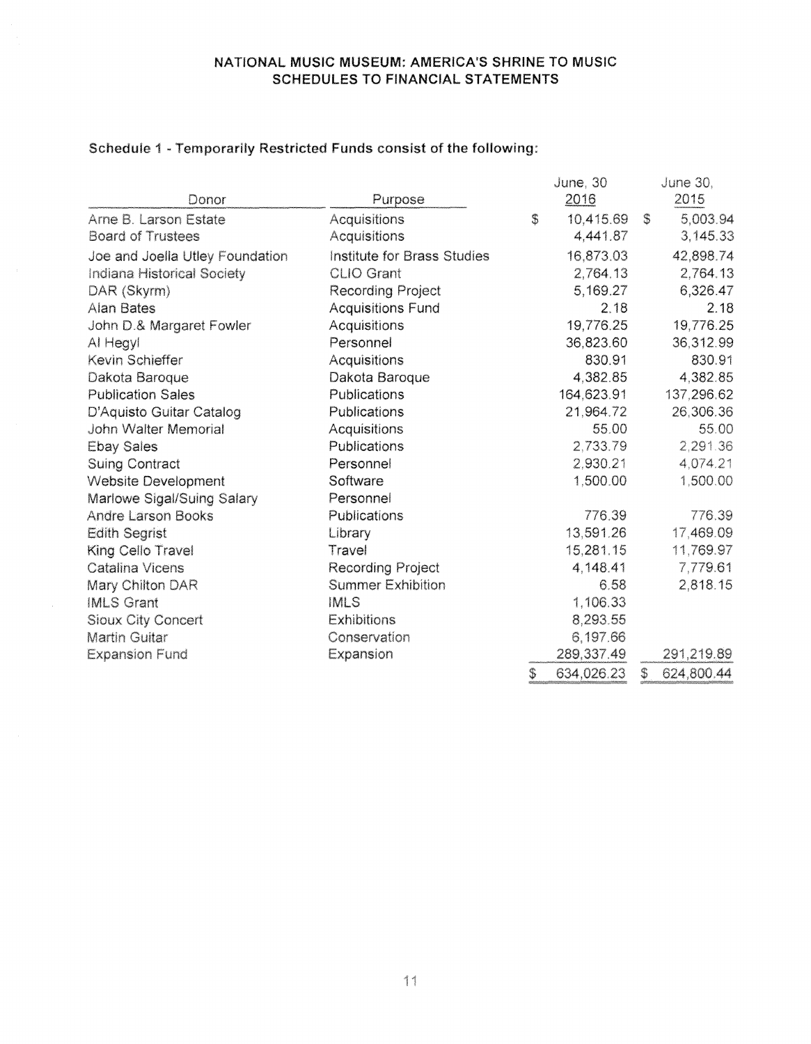# **NATIONAL MUSIC MUSEUM: AMERICA'S SHRINE TO MUSIC SCHEDULES TO FINANCIAL STATEMENTS**

|                                 |                             | June, 30         |    | June 30,   |
|---------------------------------|-----------------------------|------------------|----|------------|
| Donor                           | Purpose                     | 2016             |    | 2015       |
| Arne B. Larson Estate           | Acquisitions                | \$<br>10,415.69  | S. | 5,003.94   |
| <b>Board of Trustees</b>        | Acquisitions                | 4,441.87         |    | 3,145.33   |
| Joe and Joella Utley Foundation | Institute for Brass Studies | 16,873.03        |    | 42,898.74  |
| Indiana Historical Society      | <b>CLIO Grant</b>           | 2,764.13         |    | 2,764.13   |
| DAR (Skyrm)                     | Recording Project           | 5,169.27         |    | 6,326.47   |
| Alan Bates                      | <b>Acquisitions Fund</b>    | 2.18             |    | 2.18       |
| John D.& Margaret Fowler        | <b>Acquisitions</b>         | 19,776.25        |    | 19,776.25  |
| Al Hegyl                        | Personnel                   | 36,823.60        |    | 36,312.99  |
| Kevin Schieffer                 | Acquisitions                | 830.91           |    | 830.91     |
| Dakota Baroque                  | Dakota Baroque              | 4,382.85         |    | 4,382.85   |
| <b>Publication Sales</b>        | Publications                | 164,623.91       |    | 137,296.62 |
| D'Aquisto Guitar Catalog        | Publications                | 21,964.72        |    | 26,306.36  |
| John Walter Memorial            | Acquisitions                | 55.00            |    | 55.00      |
| <b>Ebay Sales</b>               | Publications                | 2,733.79         |    | 2,291.36   |
| <b>Suing Contract</b>           | Personnel                   | 2,930.21         |    | 4,074.21   |
| Website Development             | Software                    | 1,500.00         |    | 1,500.00   |
| Marlowe Sigal/Suing Salary      | Personnel                   |                  |    |            |
| <b>Andre Larson Books</b>       | Publications                | 776.39           |    | 776.39     |
| <b>Edith Segrist</b>            | Library                     | 13,591.26        |    | 17,469.09  |
| King Cello Travel               | Travel                      | 15,281.15        |    | 11,769.97  |
| Catalina Vicens                 | <b>Recording Project</b>    | 4,148.41         |    | 7,779.61   |
| Mary Chilton DAR                | <b>Summer Exhibition</b>    | 6.58             |    | 2,818.15   |
| <b>IMLS Grant</b>               | <b>IMLS</b>                 | 1,106.33         |    |            |
| Sioux City Concert              | <b>Exhibitions</b>          | 8,293.55         |    |            |
| Martin Guitar                   | Conservation                | 6,197.66         |    |            |
| <b>Expansion Fund</b>           | Expansion                   | 289,337.49       |    | 291,219.89 |
|                                 |                             | \$<br>634,026.23 | \$ | 624,800.44 |

# Schedule 1 - Temporarily Restricted Funds consist of the following: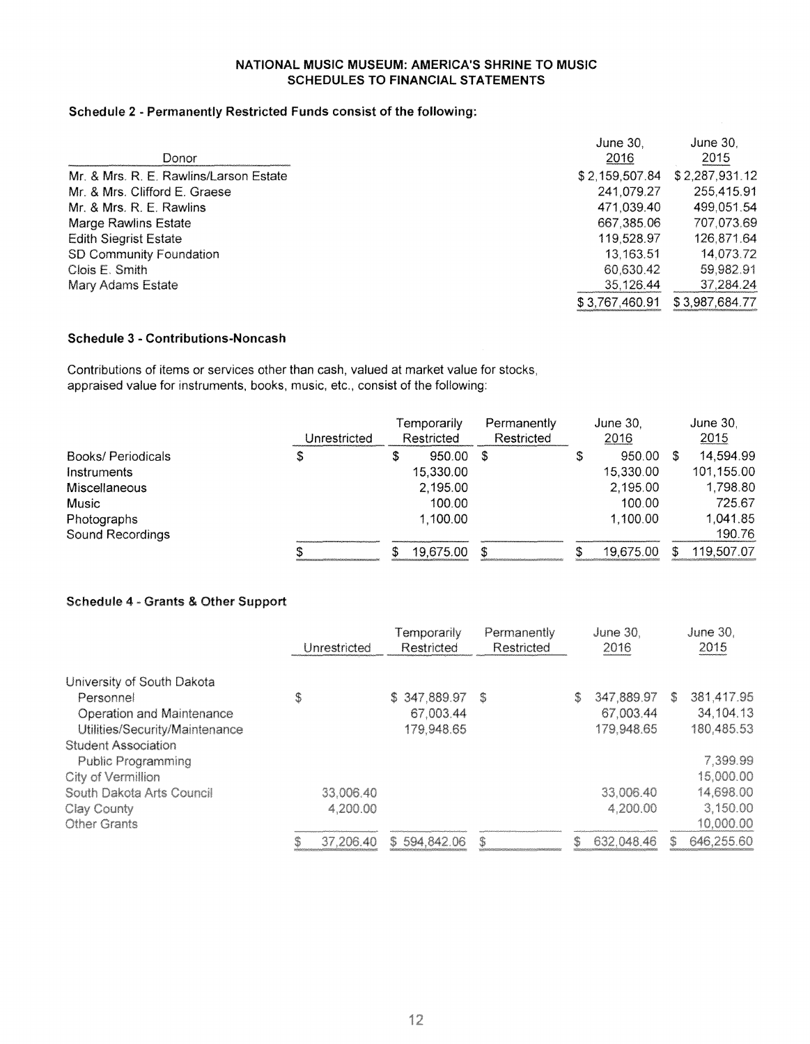#### **NATIONAL MUSIC MUSEUM: AMERICA'S SHRINE TO MUSIC SCHEDULES TO FINANCIAL STATEMENTS**

#### **Schedule 2 - Permanently Restricted Funds consist of the following:**

|                                        | <b>June 30.</b> | June 30.       |
|----------------------------------------|-----------------|----------------|
| Donor                                  | 2016            | 2015           |
| Mr. & Mrs. R. E. Rawlins/Larson Estate | \$2,159,507.84  | \$2,287,931.12 |
| Mr. & Mrs. Clifford E. Graese          | 241.079.27      | 255,415.91     |
| Mr. & Mrs. R. E. Rawlins               | 471.039.40      | 499.051.54     |
| Marge Rawlins Estate                   | 667,385.06      | 707,073.69     |
| <b>Edith Siegrist Estate</b>           | 119.528.97      | 126.871.64     |
| SD Community Foundation                | 13.163.51       | 14,073.72      |
| Clois E. Smith                         | 60.630.42       | 59,982.91      |
| Mary Adams Estate                      | 35,126.44       | 37,284.24      |
|                                        | \$3,767,460.91  | \$3,987,684.77 |

## **Schedule 3 - Contributions-Noncash**

Contributions of items or services other than cash, valued at market value for stocks, appraised value for instruments, books, music, etc., consist of the following:

|                          | Unrestricted | Temporarily<br>Restricted | Permanently<br>Restricted | June 30.<br>2016 | June 30.<br>2015 |
|--------------------------|--------------|---------------------------|---------------------------|------------------|------------------|
| <b>Books/Periodicals</b> | \$           | 950.00                    | S                         | 950.00           | 14,594.99        |
| Instruments              |              | 15,330.00                 |                           | 15,330.00        | 101,155.00       |
| Miscellaneous            |              | 2,195.00                  |                           | 2,195.00         | 1,798.80         |
| <b>Music</b>             |              | 100.00                    |                           | 100.00           | 725.67           |
| Photographs              |              | 1,100.00                  |                           | 1.100.00         | 1,041.85         |
| Sound Recordings         |              |                           |                           |                  | 190.76           |
|                          |              | 19,675.00                 |                           | 19.675.00        | 119,507.07       |

#### Schedule 4 - Grants & Other Support

|                                |    | Unrestricted |  | Temporarily<br>Restricted | Permanently<br>Restricted | June 30,<br>2016 |            |    | June 30.<br>2015 |  |
|--------------------------------|----|--------------|--|---------------------------|---------------------------|------------------|------------|----|------------------|--|
| University of South Dakota     |    |              |  |                           |                           |                  |            |    |                  |  |
| Personnel                      | \$ |              |  | \$347,889.97              | S                         | S                | 347,889.97 | S. | 381,417.95       |  |
| Operation and Maintenance      |    |              |  | 67,003.44                 |                           |                  | 67,003.44  |    | 34,104.13        |  |
| Utilities/Security/Maintenance |    |              |  | 179,948.65                |                           |                  | 179,948.65 |    | 180.485.53       |  |
| <b>Student Association</b>     |    |              |  |                           |                           |                  |            |    |                  |  |
| Public Programming             |    |              |  |                           |                           |                  |            |    | 7,399.99         |  |
| City of Vermillion             |    |              |  |                           |                           |                  |            |    | 15,000.00        |  |
| South Dakota Arts Council      |    | 33,006.40    |  |                           |                           |                  | 33,006.40  |    | 14,698.00        |  |
| Clay County                    |    | 4,200.00     |  |                           |                           |                  | 4,200.00   |    | 3,150.00         |  |
| <b>Other Grants</b>            |    |              |  |                           |                           |                  |            |    | 10,000.00        |  |
|                                | S  | 37,206.40    |  | \$594,842.06              | S                         | \$               | 632,048.46 | S. | 646,255.60       |  |